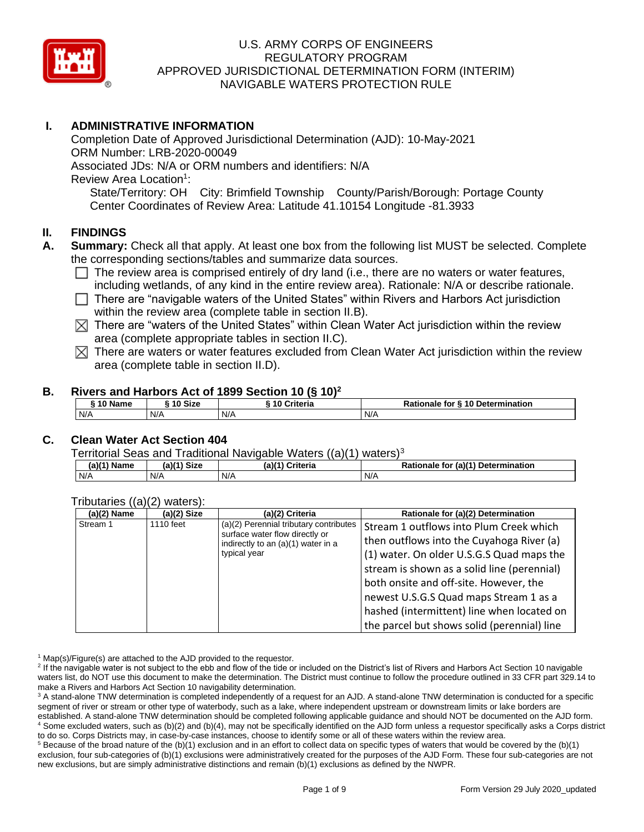

# **I. ADMINISTRATIVE INFORMATION**

Completion Date of Approved Jurisdictional Determination (AJD): 10-May-2021 ORM Number: LRB-2020-00049 Associated JDs: N/A or ORM numbers and identifiers: N/A Review Area Location<sup>1</sup>: State/Territory: OH City: Brimfield Township County/Parish/Borough: Portage County Center Coordinates of Review Area: Latitude 41.10154 Longitude -81.3933

# **II. FINDINGS**

- **A. Summary:** Check all that apply. At least one box from the following list MUST be selected. Complete the corresponding sections/tables and summarize data sources.
	- $\Box$  The review area is comprised entirely of dry land (i.e., there are no waters or water features, including wetlands, of any kind in the entire review area). Rationale: N/A or describe rationale.
	- $\Box$  There are "navigable waters of the United States" within Rivers and Harbors Act jurisdiction within the review area (complete table in section II.B).
	- $\boxtimes$  There are "waters of the United States" within Clean Water Act jurisdiction within the review area (complete appropriate tables in section II.C).
	- $\boxtimes$  There are waters or water features excluded from Clean Water Act jurisdiction within the review area (complete table in section II.D).

#### **B. Rivers and Harbors Act of 1899 Section 10 (§ 10)<sup>2</sup>**

| $\dot{}$ 10 Name | ົ 10 Size | Criteria<br><b>240</b> | Rationale for § 10 Determination |
|------------------|-----------|------------------------|----------------------------------|
| N/A              | N/A       | N/A                    | N/A                              |

# **C. Clean Water Act Section 404**

Territorial Seas and Traditional Navigable Waters  $((a)(1)$  waters)<sup>3</sup>

| (a)(1) <sup>N</sup><br>Name | $(a)(1)$ Size | (a)(1)<br>$\overline{\phantom{a}}$<br>Criteria | (a)(1) Determination<br><b>Rationale for</b> |
|-----------------------------|---------------|------------------------------------------------|----------------------------------------------|
| N/A                         | N/A           | N/A                                            | N/A                                          |

#### Tributaries ((a)(2) waters):

| $\cdots$<br>$(a)(2)$ Name | $(a)(2)$ Size | (a)(2) Criteria                        | Rationale for (a)(2) Determination          |                                           |
|---------------------------|---------------|----------------------------------------|---------------------------------------------|-------------------------------------------|
| Stream 1                  | 1110 feet     | (a)(2) Perennial tributary contributes | Stream 1 outflows into Plum Creek which     |                                           |
|                           |               | surface water flow directly or         | indirectly to an (a)(1) water in a          | then outflows into the Cuyahoga River (a) |
|                           |               | typical year                           | (1) water. On older U.S.G.S Quad maps the   |                                           |
|                           |               |                                        | stream is shown as a solid line (perennial) |                                           |
|                           |               |                                        | both onsite and off-site. However, the      |                                           |
|                           |               |                                        | newest U.S.G.S Quad maps Stream 1 as a      |                                           |
|                           |               |                                        | hashed (intermittent) line when located on  |                                           |
|                           |               |                                        | the parcel but shows solid (perennial) line |                                           |

 $1$  Map(s)/Figure(s) are attached to the AJD provided to the requestor.

<sup>2</sup> If the navigable water is not subject to the ebb and flow of the tide or included on the District's list of Rivers and Harbors Act Section 10 navigable waters list, do NOT use this document to make the determination. The District must continue to follow the procedure outlined in 33 CFR part 329.14 to make a Rivers and Harbors Act Section 10 navigability determination.

<sup>3</sup> A stand-alone TNW determination is completed independently of a request for an AJD. A stand-alone TNW determination is conducted for a specific segment of river or stream or other type of waterbody, such as a lake, where independent upstream or downstream limits or lake borders are established. A stand-alone TNW determination should be completed following applicable guidance and should NOT be documented on the AJD form. <sup>4</sup> Some excluded waters, such as (b)(2) and (b)(4), may not be specifically identified on the AJD form unless a requestor specifically asks a Corps district to do so. Corps Districts may, in case-by-case instances, choose to identify some or all of these waters within the review area.

 $5$  Because of the broad nature of the (b)(1) exclusion and in an effort to collect data on specific types of waters that would be covered by the (b)(1) exclusion, four sub-categories of (b)(1) exclusions were administratively created for the purposes of the AJD Form. These four sub-categories are not new exclusions, but are simply administrative distinctions and remain (b)(1) exclusions as defined by the NWPR.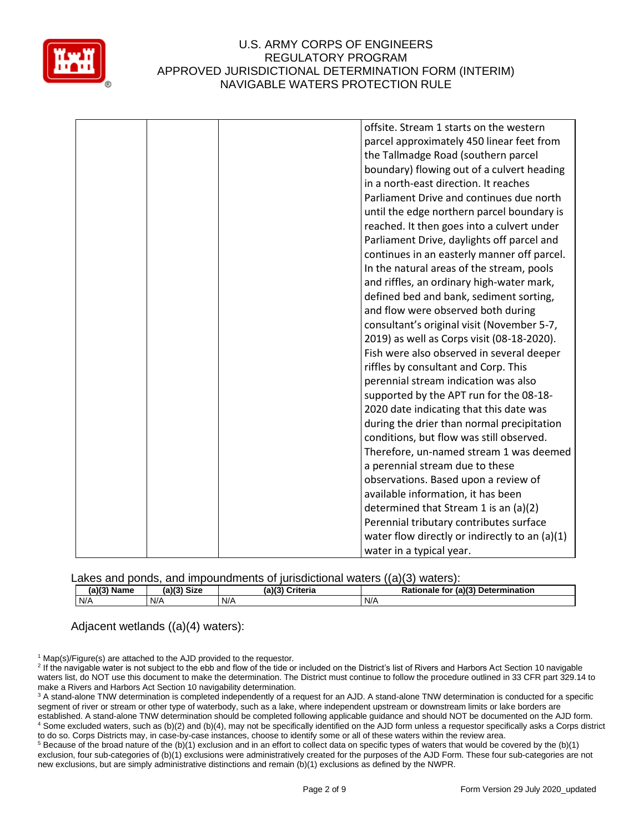

|  | offsite. Stream 1 starts on the western        |
|--|------------------------------------------------|
|  | parcel approximately 450 linear feet from      |
|  | the Tallmadge Road (southern parcel            |
|  | boundary) flowing out of a culvert heading     |
|  | in a north-east direction. It reaches          |
|  | Parliament Drive and continues due north       |
|  | until the edge northern parcel boundary is     |
|  | reached. It then goes into a culvert under     |
|  | Parliament Drive, daylights off parcel and     |
|  | continues in an easterly manner off parcel.    |
|  | In the natural areas of the stream, pools      |
|  | and riffles, an ordinary high-water mark,      |
|  | defined bed and bank, sediment sorting,        |
|  | and flow were observed both during             |
|  | consultant's original visit (November 5-7,     |
|  | 2019) as well as Corps visit (08-18-2020).     |
|  | Fish were also observed in several deeper      |
|  | riffles by consultant and Corp. This           |
|  | perennial stream indication was also           |
|  | supported by the APT run for the 08-18-        |
|  | 2020 date indicating that this date was        |
|  | during the drier than normal precipitation     |
|  | conditions, but flow was still observed.       |
|  | Therefore, un-named stream 1 was deemed        |
|  | a perennial stream due to these                |
|  | observations. Based upon a review of           |
|  | available information, it has been             |
|  | determined that Stream 1 is an (a)(2)          |
|  | Perennial tributary contributes surface        |
|  | water flow directly or indirectly to an (a)(1) |
|  | water in a typical year.                       |

Lakes and ponds, and impoundments of jurisdictional waters ((a)(3) waters):

| (a)(3) Name | <b>Size</b><br>(a)(3) | (a)(3) Criteria | Rationale for (a)(3) Determination |
|-------------|-----------------------|-----------------|------------------------------------|
| N/A         | N/A                   | N/A             | N/F                                |

Adjacent wetlands ((a)(4) waters):

 $1$  Map(s)/Figure(s) are attached to the AJD provided to the requestor.

<sup>2</sup> If the navigable water is not subject to the ebb and flow of the tide or included on the District's list of Rivers and Harbors Act Section 10 navigable waters list, do NOT use this document to make the determination. The District must continue to follow the procedure outlined in 33 CFR part 329.14 to make a Rivers and Harbors Act Section 10 navigability determination.

<sup>3</sup> A stand-alone TNW determination is completed independently of a request for an AJD. A stand-alone TNW determination is conducted for a specific segment of river or stream or other type of waterbody, such as a lake, where independent upstream or downstream limits or lake borders are established. A stand-alone TNW determination should be completed following applicable guidance and should NOT be documented on the AJD form. <sup>4</sup> Some excluded waters, such as (b)(2) and (b)(4), may not be specifically identified on the AJD form unless a requestor specifically asks a Corps district to do so. Corps Districts may, in case-by-case instances, choose to identify some or all of these waters within the review area.

 $5$  Because of the broad nature of the (b)(1) exclusion and in an effort to collect data on specific types of waters that would be covered by the (b)(1) exclusion, four sub-categories of (b)(1) exclusions were administratively created for the purposes of the AJD Form. These four sub-categories are not new exclusions, but are simply administrative distinctions and remain (b)(1) exclusions as defined by the NWPR.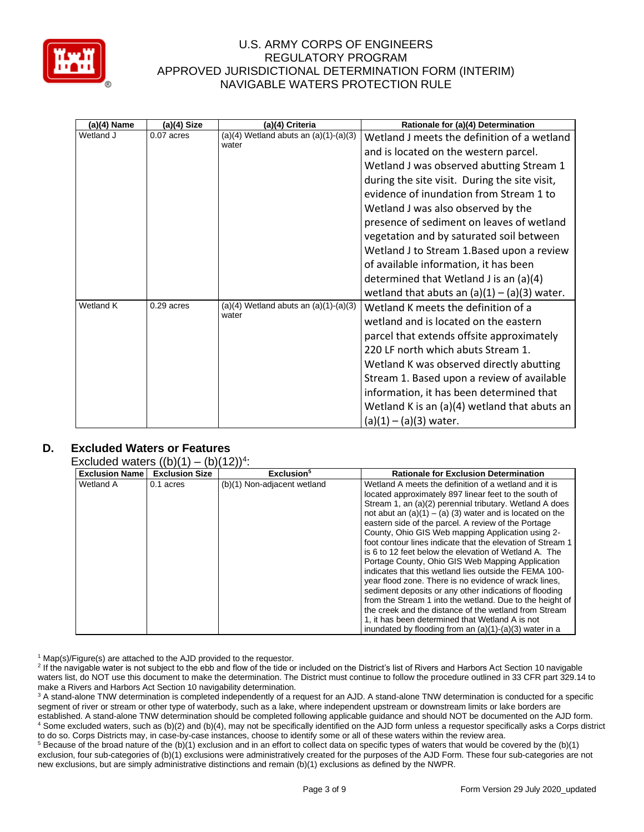

| (a)(4) Name | (a)(4) Size | (a)(4) Criteria                                    | Rationale for (a)(4) Determination             |
|-------------|-------------|----------------------------------------------------|------------------------------------------------|
| Wetland J   | 0.07 acres  | $(a)(4)$ Wetland abuts an $(a)(1)-(a)(3)$<br>water | Wetland J meets the definition of a wetland    |
|             |             |                                                    | and is located on the western parcel.          |
|             |             |                                                    | Wetland J was observed abutting Stream 1       |
|             |             |                                                    | during the site visit. During the site visit,  |
|             |             |                                                    | evidence of inundation from Stream 1 to        |
|             |             |                                                    | Wetland J was also observed by the             |
|             |             |                                                    | presence of sediment on leaves of wetland      |
|             |             |                                                    | vegetation and by saturated soil between       |
|             |             |                                                    | Wetland J to Stream 1. Based upon a review     |
|             |             |                                                    | of available information, it has been          |
|             |             |                                                    | determined that Wetland J is an (a)(4)         |
|             |             |                                                    | wetland that abuts an $(a)(1) - (a)(3)$ water. |
| Wetland K   | 0.29 acres  | $(a)(4)$ Wetland abuts an $(a)(1)-(a)(3)$<br>water | Wetland K meets the definition of a            |
|             |             |                                                    | wetland and is located on the eastern          |
|             |             |                                                    | parcel that extends offsite approximately      |
|             |             |                                                    | 220 LF north which abuts Stream 1.             |
|             |             |                                                    | Wetland K was observed directly abutting       |
|             |             |                                                    | Stream 1. Based upon a review of available     |
|             |             |                                                    | information, it has been determined that       |
|             |             |                                                    | Wetland K is an (a)(4) wetland that abuts an   |
|             |             |                                                    | $(a)(1) - (a)(3)$ water.                       |

# **D. Excluded Waters or Features**

#### Excluded waters  $((b)(1) - (b)(12))^4$ :

| XUIUUUU WALUIS ((D)(T) |                       | $ U $ $ L $ .               |                                                            |
|------------------------|-----------------------|-----------------------------|------------------------------------------------------------|
| <b>Exclusion Name</b>  | <b>Exclusion Size</b> | Exclusion <sup>5</sup>      | <b>Rationale for Exclusion Determination</b>               |
| <b>Wetland A</b>       | 0.1 acres             | (b)(1) Non-adjacent wetland | Wetland A meets the definition of a wetland and it is      |
|                        |                       |                             | located approximately 897 linear feet to the south of      |
|                        |                       |                             | Stream 1, an (a)(2) perennial tributary. Wetland A does    |
|                        |                       |                             | not abut an $(a)(1) - (a)(3)$ water and is located on the  |
|                        |                       |                             | eastern side of the parcel. A review of the Portage        |
|                        |                       |                             | County, Ohio GIS Web mapping Application using 2-          |
|                        |                       |                             | foot contour lines indicate that the elevation of Stream 1 |
|                        |                       |                             | is 6 to 12 feet below the elevation of Wetland A. The      |
|                        |                       |                             | Portage County, Ohio GIS Web Mapping Application           |
|                        |                       |                             | indicates that this wetland lies outside the FEMA 100-     |
|                        |                       |                             | year flood zone. There is no evidence of wrack lines,      |
|                        |                       |                             | sediment deposits or any other indications of flooding     |
|                        |                       |                             | from the Stream 1 into the wetland. Due to the height of   |
|                        |                       |                             | the creek and the distance of the wetland from Stream      |
|                        |                       |                             | 1, it has been determined that Wetland A is not            |
|                        |                       |                             | inundated by flooding from an $(a)(1)-(a)(3)$ water in a   |

<sup>1</sup> Map(s)/Figure(s) are attached to the AJD provided to the requestor.

<sup>2</sup> If the navigable water is not subject to the ebb and flow of the tide or included on the District's list of Rivers and Harbors Act Section 10 navigable waters list, do NOT use this document to make the determination. The District must continue to follow the procedure outlined in 33 CFR part 329.14 to make a Rivers and Harbors Act Section 10 navigability determination.

<sup>3</sup> A stand-alone TNW determination is completed independently of a request for an AJD. A stand-alone TNW determination is conducted for a specific segment of river or stream or other type of waterbody, such as a lake, where independent upstream or downstream limits or lake borders are established. A stand-alone TNW determination should be completed following applicable guidance and should NOT be documented on the AJD form. <sup>4</sup> Some excluded waters, such as (b)(2) and (b)(4), may not be specifically identified on the AJD form unless a requestor specifically asks a Corps district to do so. Corps Districts may, in case-by-case instances, choose to identify some or all of these waters within the review area.

 $5$  Because of the broad nature of the (b)(1) exclusion and in an effort to collect data on specific types of waters that would be covered by the (b)(1) exclusion, four sub-categories of (b)(1) exclusions were administratively created for the purposes of the AJD Form. These four sub-categories are not new exclusions, but are simply administrative distinctions and remain (b)(1) exclusions as defined by the NWPR.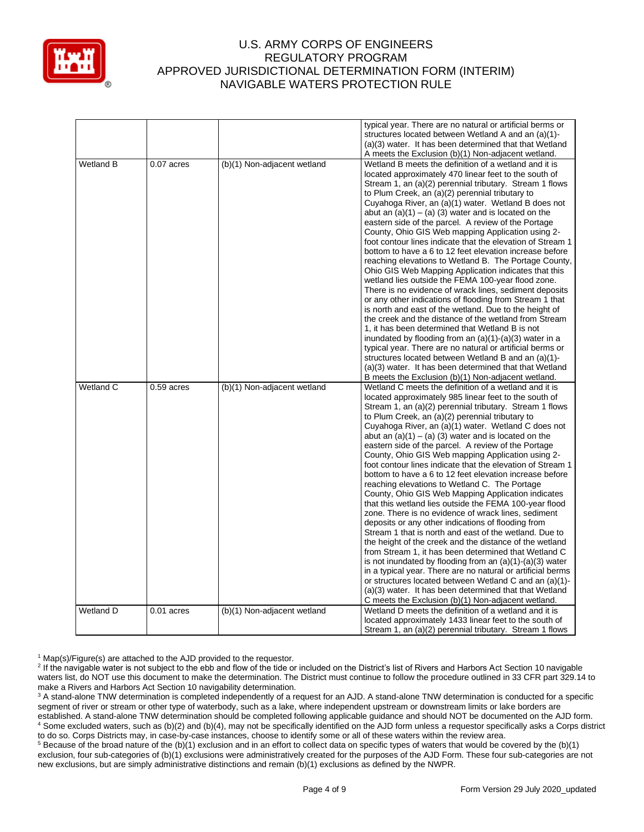

|                  |              |                             | typical year. There are no natural or artificial berms or<br>structures located between Wetland A and an (a)(1)-<br>(a)(3) water. It has been determined that that Wetland<br>A meets the Exclusion (b)(1) Non-adjacent wetland.                                                                                                                                                                                                                                                                                                                                                                                                                                                                                                                                                                                                                                                                                                                                                                                                                                                                                                                                                                                                                                                                                                                    |
|------------------|--------------|-----------------------------|-----------------------------------------------------------------------------------------------------------------------------------------------------------------------------------------------------------------------------------------------------------------------------------------------------------------------------------------------------------------------------------------------------------------------------------------------------------------------------------------------------------------------------------------------------------------------------------------------------------------------------------------------------------------------------------------------------------------------------------------------------------------------------------------------------------------------------------------------------------------------------------------------------------------------------------------------------------------------------------------------------------------------------------------------------------------------------------------------------------------------------------------------------------------------------------------------------------------------------------------------------------------------------------------------------------------------------------------------------|
| Wetland B        | $0.07$ acres | (b)(1) Non-adjacent wetland | Wetland B meets the definition of a wetland and it is<br>located approximately 470 linear feet to the south of<br>Stream 1, an (a)(2) perennial tributary. Stream 1 flows<br>to Plum Creek, an (a)(2) perennial tributary to<br>Cuyahoga River, an (a)(1) water. Wetland B does not<br>abut an $(a)(1) - (a)(3)$ water and is located on the<br>eastern side of the parcel. A review of the Portage<br>County, Ohio GIS Web mapping Application using 2-<br>foot contour lines indicate that the elevation of Stream 1<br>bottom to have a 6 to 12 feet elevation increase before<br>reaching elevations to Wetland B. The Portage County,<br>Ohio GIS Web Mapping Application indicates that this<br>wetland lies outside the FEMA 100-year flood zone.<br>There is no evidence of wrack lines, sediment deposits<br>or any other indications of flooding from Stream 1 that<br>is north and east of the wetland. Due to the height of<br>the creek and the distance of the wetland from Stream<br>1, it has been determined that Wetland B is not<br>inundated by flooding from an $(a)(1)-(a)(3)$ water in a<br>typical year. There are no natural or artificial berms or<br>structures located between Wetland B and an (a)(1)-<br>(a)(3) water. It has been determined that that Wetland<br>B meets the Exclusion (b)(1) Non-adjacent wetland. |
| Wetland C        | $0.59$ acres | (b)(1) Non-adjacent wetland | Wetland C meets the definition of a wetland and it is<br>located approximately 985 linear feet to the south of<br>Stream 1, an (a)(2) perennial tributary. Stream 1 flows<br>to Plum Creek, an (a)(2) perennial tributary to<br>Cuyahoga River, an (a)(1) water. Wetland C does not<br>abut an $(a)(1) - (a)(3)$ water and is located on the<br>eastern side of the parcel. A review of the Portage<br>County, Ohio GIS Web mapping Application using 2-<br>foot contour lines indicate that the elevation of Stream 1<br>bottom to have a 6 to 12 feet elevation increase before<br>reaching elevations to Wetland C. The Portage<br>County, Ohio GIS Web Mapping Application indicates<br>that this wetland lies outside the FEMA 100-year flood<br>zone. There is no evidence of wrack lines, sediment<br>deposits or any other indications of flooding from<br>Stream 1 that is north and east of the wetland. Due to<br>the height of the creek and the distance of the wetland<br>from Stream 1, it has been determined that Wetland C<br>is not inundated by flooding from an $(a)(1)-(a)(3)$ water<br>in a typical year. There are no natural or artificial berms<br>or structures located between Wetland C and an (a)(1)-<br>(a)(3) water. It has been determined that that Wetland<br>C meets the Exclusion (b)(1) Non-adjacent wetland. |
| <b>Wetland D</b> | 0.01 acres   | (b)(1) Non-adjacent wetland | Wetland D meets the definition of a wetland and it is<br>located approximately 1433 linear feet to the south of<br>Stream 1, an (a)(2) perennial tributary. Stream 1 flows                                                                                                                                                                                                                                                                                                                                                                                                                                                                                                                                                                                                                                                                                                                                                                                                                                                                                                                                                                                                                                                                                                                                                                          |

<sup>1</sup> Map(s)/Figure(s) are attached to the AJD provided to the requestor.

<sup>&</sup>lt;sup>2</sup> If the navigable water is not subject to the ebb and flow of the tide or included on the District's list of Rivers and Harbors Act Section 10 navigable waters list, do NOT use this document to make the determination. The District must continue to follow the procedure outlined in 33 CFR part 329.14 to make a Rivers and Harbors Act Section 10 navigability determination.

<sup>&</sup>lt;sup>3</sup> A stand-alone TNW determination is completed independently of a request for an AJD. A stand-alone TNW determination is conducted for a specific segment of river or stream or other type of waterbody, such as a lake, where independent upstream or downstream limits or lake borders are established. A stand-alone TNW determination should be completed following applicable guidance and should NOT be documented on the AJD form. <sup>4</sup> Some excluded waters, such as (b)(2) and (b)(4), may not be specifically identified on the AJD form unless a requestor specifically asks a Corps district to do so. Corps Districts may, in case-by-case instances, choose to identify some or all of these waters within the review area.

<sup>5</sup> Because of the broad nature of the (b)(1) exclusion and in an effort to collect data on specific types of waters that would be covered by the (b)(1) exclusion, four sub-categories of (b)(1) exclusions were administratively created for the purposes of the AJD Form. These four sub-categories are not new exclusions, but are simply administrative distinctions and remain (b)(1) exclusions as defined by the NWPR.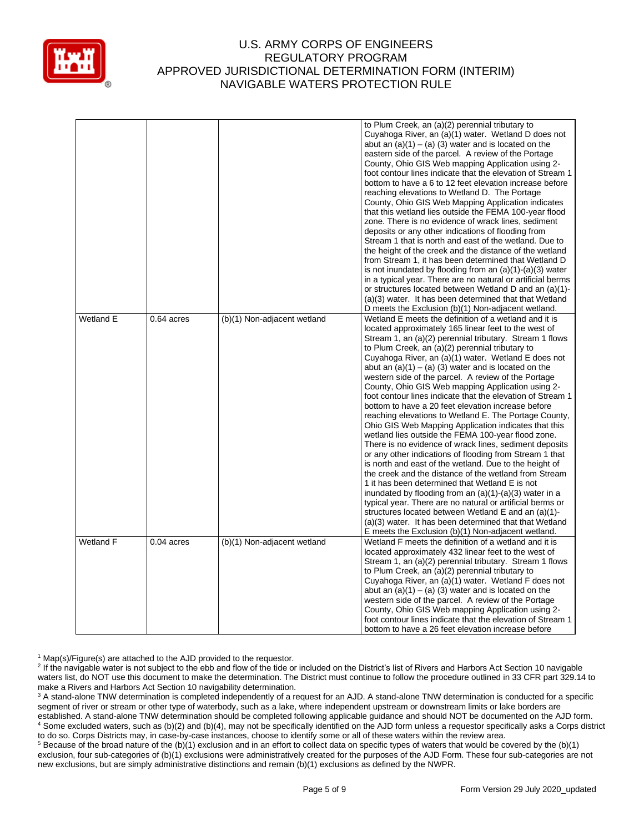

|           |              |                             | to Plum Creek, an (a)(2) perennial tributary to<br>Cuyahoga River, an (a)(1) water. Wetland D does not<br>abut an $(a)(1) - (a)(3)$ water and is located on the<br>eastern side of the parcel. A review of the Portage<br>County, Ohio GIS Web mapping Application using 2-<br>foot contour lines indicate that the elevation of Stream 1<br>bottom to have a 6 to 12 feet elevation increase before<br>reaching elevations to Wetland D. The Portage<br>County, Ohio GIS Web Mapping Application indicates<br>that this wetland lies outside the FEMA 100-year flood<br>zone. There is no evidence of wrack lines, sediment<br>deposits or any other indications of flooding from<br>Stream 1 that is north and east of the wetland. Due to<br>the height of the creek and the distance of the wetland<br>from Stream 1, it has been determined that Wetland D<br>is not inundated by flooding from an $(a)(1)-(a)(3)$ water<br>in a typical year. There are no natural or artificial berms<br>or structures located between Wetland D and an (a)(1)-<br>(a)(3) water. It has been determined that that Wetland<br>D meets the Exclusion (b)(1) Non-adjacent wetland.                                                                                                                                                                       |
|-----------|--------------|-----------------------------|----------------------------------------------------------------------------------------------------------------------------------------------------------------------------------------------------------------------------------------------------------------------------------------------------------------------------------------------------------------------------------------------------------------------------------------------------------------------------------------------------------------------------------------------------------------------------------------------------------------------------------------------------------------------------------------------------------------------------------------------------------------------------------------------------------------------------------------------------------------------------------------------------------------------------------------------------------------------------------------------------------------------------------------------------------------------------------------------------------------------------------------------------------------------------------------------------------------------------------------------------------------------------------------------------------------------------------------------|
| Wetland E | $0.64$ acres | (b)(1) Non-adjacent wetland | Wetland E meets the definition of a wetland and it is<br>located approximately 165 linear feet to the west of<br>Stream 1, an (a)(2) perennial tributary. Stream 1 flows<br>to Plum Creek, an (a)(2) perennial tributary to<br>Cuyahoga River, an (a)(1) water. Wetland E does not<br>abut an $(a)(1) - (a)(3)$ water and is located on the<br>western side of the parcel. A review of the Portage<br>County, Ohio GIS Web mapping Application using 2-<br>foot contour lines indicate that the elevation of Stream 1<br>bottom to have a 20 feet elevation increase before<br>reaching elevations to Wetland E. The Portage County,<br>Ohio GIS Web Mapping Application indicates that this<br>wetland lies outside the FEMA 100-year flood zone.<br>There is no evidence of wrack lines, sediment deposits<br>or any other indications of flooding from Stream 1 that<br>is north and east of the wetland. Due to the height of<br>the creek and the distance of the wetland from Stream<br>1 it has been determined that Wetland E is not<br>inundated by flooding from an $(a)(1)-(a)(3)$ water in a<br>typical year. There are no natural or artificial berms or<br>structures located between Wetland E and an (a)(1)-<br>(a)(3) water. It has been determined that that Wetland<br>E meets the Exclusion (b)(1) Non-adjacent wetland. |
| Wetland F | $0.04$ acres | (b)(1) Non-adjacent wetland | Wetland F meets the definition of a wetland and it is<br>located approximately 432 linear feet to the west of<br>Stream 1, an (a)(2) perennial tributary. Stream 1 flows<br>to Plum Creek, an (a)(2) perennial tributary to<br>Cuyahoga River, an (a)(1) water. Wetland F does not<br>abut an $(a)(1) - (a)(3)$ water and is located on the<br>western side of the parcel. A review of the Portage<br>County, Ohio GIS Web mapping Application using 2-<br>foot contour lines indicate that the elevation of Stream 1<br>bottom to have a 26 feet elevation increase before                                                                                                                                                                                                                                                                                                                                                                                                                                                                                                                                                                                                                                                                                                                                                                  |

<sup>1</sup> Map(s)/Figure(s) are attached to the AJD provided to the requestor.

<sup>5</sup> Because of the broad nature of the (b)(1) exclusion and in an effort to collect data on specific types of waters that would be covered by the (b)(1) exclusion, four sub-categories of (b)(1) exclusions were administratively created for the purposes of the AJD Form. These four sub-categories are not new exclusions, but are simply administrative distinctions and remain (b)(1) exclusions as defined by the NWPR.

<sup>&</sup>lt;sup>2</sup> If the navigable water is not subject to the ebb and flow of the tide or included on the District's list of Rivers and Harbors Act Section 10 navigable waters list, do NOT use this document to make the determination. The District must continue to follow the procedure outlined in 33 CFR part 329.14 to make a Rivers and Harbors Act Section 10 navigability determination.

<sup>&</sup>lt;sup>3</sup> A stand-alone TNW determination is completed independently of a request for an AJD. A stand-alone TNW determination is conducted for a specific segment of river or stream or other type of waterbody, such as a lake, where independent upstream or downstream limits or lake borders are established. A stand-alone TNW determination should be completed following applicable guidance and should NOT be documented on the AJD form. <sup>4</sup> Some excluded waters, such as (b)(2) and (b)(4), may not be specifically identified on the AJD form unless a requestor specifically asks a Corps district to do so. Corps Districts may, in case-by-case instances, choose to identify some or all of these waters within the review area.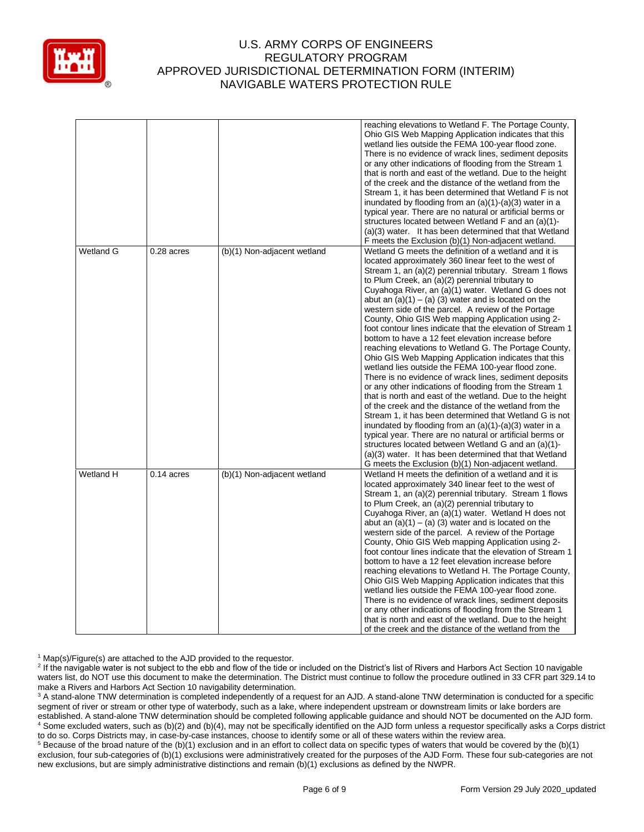

|           |              |                             | reaching elevations to Wetland F. The Portage County,<br>Ohio GIS Web Mapping Application indicates that this<br>wetland lies outside the FEMA 100-year flood zone.<br>There is no evidence of wrack lines, sediment deposits<br>or any other indications of flooding from the Stream 1<br>that is north and east of the wetland. Due to the height<br>of the creek and the distance of the wetland from the<br>Stream 1, it has been determined that Wetland F is not<br>inundated by flooding from an (a)(1)-(a)(3) water in a<br>typical year. There are no natural or artificial berms or<br>structures located between Wetland F and an (a)(1)-<br>(a)(3) water. It has been determined that that Wetland<br>F meets the Exclusion (b)(1) Non-adjacent wetland.                                                                                                                                                                                                                                                                                                                                                                                                                                                                                                                                                                                  |
|-----------|--------------|-----------------------------|-------------------------------------------------------------------------------------------------------------------------------------------------------------------------------------------------------------------------------------------------------------------------------------------------------------------------------------------------------------------------------------------------------------------------------------------------------------------------------------------------------------------------------------------------------------------------------------------------------------------------------------------------------------------------------------------------------------------------------------------------------------------------------------------------------------------------------------------------------------------------------------------------------------------------------------------------------------------------------------------------------------------------------------------------------------------------------------------------------------------------------------------------------------------------------------------------------------------------------------------------------------------------------------------------------------------------------------------------------|
| Wetland G | $0.28$ acres | (b)(1) Non-adjacent wetland | Wetland G meets the definition of a wetland and it is<br>located approximately 360 linear feet to the west of<br>Stream 1, an (a)(2) perennial tributary. Stream 1 flows<br>to Plum Creek, an (a)(2) perennial tributary to<br>Cuyahoga River, an (a)(1) water. Wetland G does not<br>abut an $(a)(1) - (a)(3)$ water and is located on the<br>western side of the parcel. A review of the Portage<br>County, Ohio GIS Web mapping Application using 2-<br>foot contour lines indicate that the elevation of Stream 1<br>bottom to have a 12 feet elevation increase before<br>reaching elevations to Wetland G. The Portage County,<br>Ohio GIS Web Mapping Application indicates that this<br>wetland lies outside the FEMA 100-year flood zone.<br>There is no evidence of wrack lines, sediment deposits<br>or any other indications of flooding from the Stream 1<br>that is north and east of the wetland. Due to the height<br>of the creek and the distance of the wetland from the<br>Stream 1, it has been determined that Wetland G is not<br>inundated by flooding from an $(a)(1)-(a)(3)$ water in a<br>typical year. There are no natural or artificial berms or<br>structures located between Wetland G and an (a)(1)-<br>(a)(3) water. It has been determined that that Wetland<br>G meets the Exclusion (b)(1) Non-adjacent wetland. |
| Wetland H | $0.14$ acres | (b)(1) Non-adjacent wetland | Wetland H meets the definition of a wetland and it is<br>located approximately 340 linear feet to the west of<br>Stream 1, an (a)(2) perennial tributary. Stream 1 flows<br>to Plum Creek, an (a)(2) perennial tributary to<br>Cuyahoga River, an (a)(1) water. Wetland H does not<br>abut an $(a)(1) - (a)(3)$ water and is located on the<br>western side of the parcel. A review of the Portage<br>County, Ohio GIS Web mapping Application using 2-<br>foot contour lines indicate that the elevation of Stream 1<br>bottom to have a 12 feet elevation increase before<br>reaching elevations to Wetland H. The Portage County,<br>Ohio GIS Web Mapping Application indicates that this<br>wetland lies outside the FEMA 100-year flood zone.<br>There is no evidence of wrack lines, sediment deposits<br>or any other indications of flooding from the Stream 1<br>that is north and east of the wetland. Due to the height<br>of the creek and the distance of the wetland from the                                                                                                                                                                                                                                                                                                                                                           |

<sup>1</sup> Map(s)/Figure(s) are attached to the AJD provided to the requestor.

<sup>2</sup> If the navigable water is not subject to the ebb and flow of the tide or included on the District's list of Rivers and Harbors Act Section 10 navigable waters list, do NOT use this document to make the determination. The District must continue to follow the procedure outlined in 33 CFR part 329.14 to make a Rivers and Harbors Act Section 10 navigability determination.

<sup>3</sup> A stand-alone TNW determination is completed independently of a request for an AJD. A stand-alone TNW determination is conducted for a specific segment of river or stream or other type of waterbody, such as a lake, where independent upstream or downstream limits or lake borders are established. A stand-alone TNW determination should be completed following applicable guidance and should NOT be documented on the AJD form. <sup>4</sup> Some excluded waters, such as (b)(2) and (b)(4), may not be specifically identified on the AJD form unless a requestor specifically asks a Corps district to do so. Corps Districts may, in case-by-case instances, choose to identify some or all of these waters within the review area.

<sup>5</sup> Because of the broad nature of the (b)(1) exclusion and in an effort to collect data on specific types of waters that would be covered by the (b)(1) exclusion, four sub-categories of (b)(1) exclusions were administratively created for the purposes of the AJD Form. These four sub-categories are not new exclusions, but are simply administrative distinctions and remain (b)(1) exclusions as defined by the NWPR.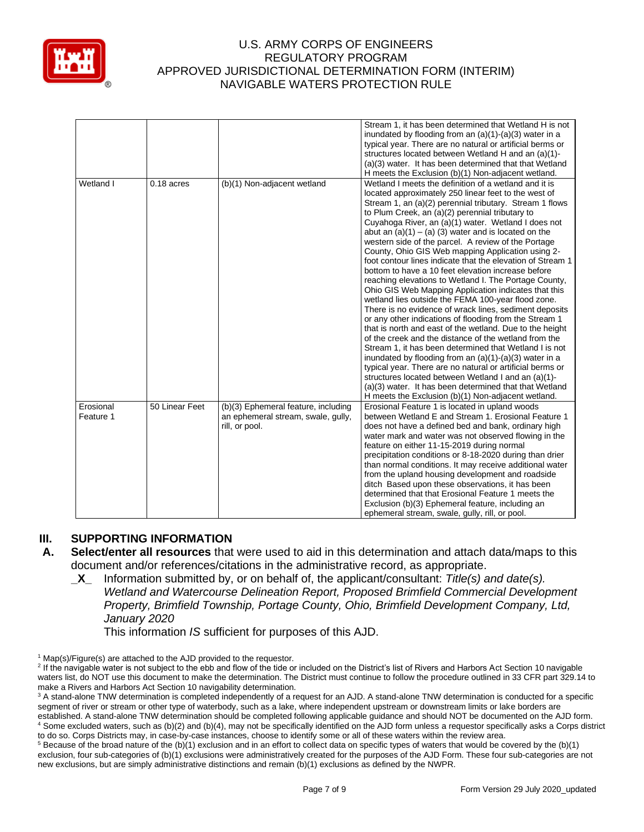

|                        |                |                                                                                             | Stream 1, it has been determined that Wetland H is not<br>inundated by flooding from an (a)(1)-(a)(3) water in a<br>typical year. There are no natural or artificial berms or<br>structures located between Wetland H and an (a)(1)-<br>(a)(3) water. It has been determined that that Wetland<br>H meets the Exclusion (b)(1) Non-adjacent wetland.                                                                                                                                                                                                                                                                                                                                                                                                                                                                                                                                                                                                                                                                                                                                                                                                                                                                                                                                                                                                  |
|------------------------|----------------|---------------------------------------------------------------------------------------------|-------------------------------------------------------------------------------------------------------------------------------------------------------------------------------------------------------------------------------------------------------------------------------------------------------------------------------------------------------------------------------------------------------------------------------------------------------------------------------------------------------------------------------------------------------------------------------------------------------------------------------------------------------------------------------------------------------------------------------------------------------------------------------------------------------------------------------------------------------------------------------------------------------------------------------------------------------------------------------------------------------------------------------------------------------------------------------------------------------------------------------------------------------------------------------------------------------------------------------------------------------------------------------------------------------------------------------------------------------|
| Wetland I              | $0.18$ acres   | (b)(1) Non-adjacent wetland                                                                 | Wetland I meets the definition of a wetland and it is<br>located approximately 250 linear feet to the west of<br>Stream 1, an (a)(2) perennial tributary. Stream 1 flows<br>to Plum Creek, an (a)(2) perennial tributary to<br>Cuyahoga River, an (a)(1) water. Wetland I does not<br>abut an $(a)(1) - (a)(3)$ water and is located on the<br>western side of the parcel. A review of the Portage<br>County, Ohio GIS Web mapping Application using 2-<br>foot contour lines indicate that the elevation of Stream 1<br>bottom to have a 10 feet elevation increase before<br>reaching elevations to Wetland I. The Portage County,<br>Ohio GIS Web Mapping Application indicates that this<br>wetland lies outside the FEMA 100-year flood zone.<br>There is no evidence of wrack lines, sediment deposits<br>or any other indications of flooding from the Stream 1<br>that is north and east of the wetland. Due to the height<br>of the creek and the distance of the wetland from the<br>Stream 1, it has been determined that Wetland I is not<br>inundated by flooding from an $(a)(1)-(a)(3)$ water in a<br>typical year. There are no natural or artificial berms or<br>structures located between Wetland I and an (a)(1)-<br>(a)(3) water. It has been determined that that Wetland<br>H meets the Exclusion (b)(1) Non-adjacent wetland. |
| Erosional<br>Feature 1 | 50 Linear Feet | (b)(3) Ephemeral feature, including<br>an ephemeral stream, swale, gully,<br>rill, or pool. | Erosional Feature 1 is located in upland woods<br>between Wetland E and Stream 1. Erosional Feature 1<br>does not have a defined bed and bank, ordinary high<br>water mark and water was not observed flowing in the<br>feature on either 11-15-2019 during normal<br>precipitation conditions or 8-18-2020 during than drier<br>than normal conditions. It may receive additional water<br>from the upland housing development and roadside<br>ditch Based upon these observations, it has been<br>determined that that Erosional Feature 1 meets the<br>Exclusion (b)(3) Ephemeral feature, including an<br>ephemeral stream, swale, gully, rill, or pool.                                                                                                                                                                                                                                                                                                                                                                                                                                                                                                                                                                                                                                                                                          |

# **III. SUPPORTING INFORMATION**

- **A. Select/enter all resources** that were used to aid in this determination and attach data/maps to this document and/or references/citations in the administrative record, as appropriate.
	- **\_X\_** Information submitted by, or on behalf of, the applicant/consultant: *Title(s) and date(s). Wetland and Watercourse Delineation Report, Proposed Brimfield Commercial Development Property, Brimfield Township, Portage County, Ohio, Brimfield Development Company, Ltd, January 2020*

This information *IS* sufficient for purposes of this AJD.

 $1$  Map(s)/Figure(s) are attached to the AJD provided to the requestor.

<sup>&</sup>lt;sup>2</sup> If the navigable water is not subject to the ebb and flow of the tide or included on the District's list of Rivers and Harbors Act Section 10 navigable waters list, do NOT use this document to make the determination. The District must continue to follow the procedure outlined in 33 CFR part 329.14 to make a Rivers and Harbors Act Section 10 navigability determination.

<sup>&</sup>lt;sup>3</sup> A stand-alone TNW determination is completed independently of a request for an AJD. A stand-alone TNW determination is conducted for a specific segment of river or stream or other type of waterbody, such as a lake, where independent upstream or downstream limits or lake borders are established. A stand-alone TNW determination should be completed following applicable guidance and should NOT be documented on the AJD form. <sup>4</sup> Some excluded waters, such as (b)(2) and (b)(4), may not be specifically identified on the AJD form unless a requestor specifically asks a Corps district to do so. Corps Districts may, in case-by-case instances, choose to identify some or all of these waters within the review area.

 $5$  Because of the broad nature of the (b)(1) exclusion and in an effort to collect data on specific types of waters that would be covered by the (b)(1) exclusion, four sub-categories of (b)(1) exclusions were administratively created for the purposes of the AJD Form. These four sub-categories are not new exclusions, but are simply administrative distinctions and remain (b)(1) exclusions as defined by the NWPR.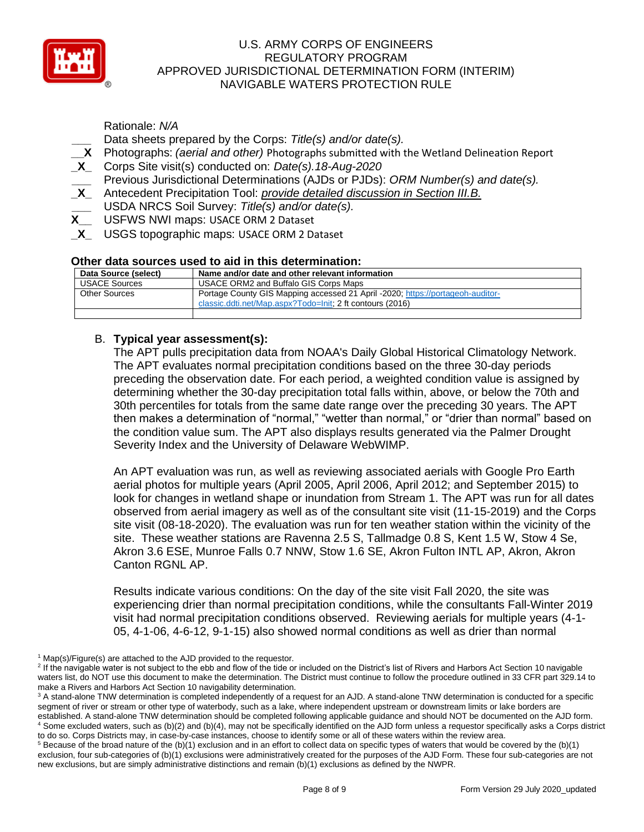

Rationale: *N/A*  **\_\_\_** Data sheets prepared by the Corps: *Title(s) and/or date(s).*

- **\_\_X** Photographs: *(aerial and other)* Photographs submitted with the Wetland Delineation Report
- **\_X\_** Corps Site visit(s) conducted on: *Date(s).18-Aug-2020*

**\_\_\_** Previous Jurisdictional Determinations (AJDs or PJDs): *ORM Number(s) and date(s).*

- **\_X\_** Antecedent Precipitation Tool: *provide detailed discussion in Section III.B.*
- **\_\_\_** USDA NRCS Soil Survey: *Title(s) and/or date(s).*
- **X\_\_** USFWS NWI maps: USACE ORM 2 Dataset
- **\_X\_** USGS topographic maps: USACE ORM 2 Dataset

### **Other data sources used to aid in this determination:**

| Data Source (select) | Name and/or date and other relevant information                                |
|----------------------|--------------------------------------------------------------------------------|
| <b>USACE Sources</b> | USACE ORM2 and Buffalo GIS Corps Maps                                          |
| Other Sources        | Portage County GIS Mapping accessed 21 April -2020; https://portageoh-auditor- |
|                      | classic.ddti.net/Map.aspx?Todo=lnit; 2 ft contours (2016)                      |
|                      |                                                                                |

# B. **Typical year assessment(s):**

The APT pulls precipitation data from NOAA's Daily Global Historical Climatology Network. The APT evaluates normal precipitation conditions based on the three 30-day periods preceding the observation date. For each period, a weighted condition value is assigned by determining whether the 30-day precipitation total falls within, above, or below the 70th and 30th percentiles for totals from the same date range over the preceding 30 years. The APT then makes a determination of "normal," "wetter than normal," or "drier than normal" based on the condition value sum. The APT also displays results generated via the Palmer Drought Severity Index and the University of Delaware WebWIMP.

An APT evaluation was run, as well as reviewing associated aerials with Google Pro Earth aerial photos for multiple years (April 2005, April 2006, April 2012; and September 2015) to look for changes in wetland shape or inundation from Stream 1. The APT was run for all dates observed from aerial imagery as well as of the consultant site visit (11-15-2019) and the Corps site visit (08-18-2020). The evaluation was run for ten weather station within the vicinity of the site. These weather stations are Ravenna 2.5 S, Tallmadge 0.8 S, Kent 1.5 W, Stow 4 Se, Akron 3.6 ESE, Munroe Falls 0.7 NNW, Stow 1.6 SE, Akron Fulton INTL AP, Akron, Akron Canton RGNL AP.

Results indicate various conditions: On the day of the site visit Fall 2020, the site was experiencing drier than normal precipitation conditions, while the consultants Fall-Winter 2019 visit had normal precipitation conditions observed. Reviewing aerials for multiple years (4-1- 05, 4-1-06, 4-6-12, 9-1-15) also showed normal conditions as well as drier than normal

 $1$  Map(s)/Figure(s) are attached to the AJD provided to the requestor.

<sup>&</sup>lt;sup>2</sup> If the navigable water is not subject to the ebb and flow of the tide or included on the District's list of Rivers and Harbors Act Section 10 navigable waters list, do NOT use this document to make the determination. The District must continue to follow the procedure outlined in 33 CFR part 329.14 to make a Rivers and Harbors Act Section 10 navigability determination.

<sup>&</sup>lt;sup>3</sup> A stand-alone TNW determination is completed independently of a request for an AJD. A stand-alone TNW determination is conducted for a specific segment of river or stream or other type of waterbody, such as a lake, where independent upstream or downstream limits or lake borders are established. A stand-alone TNW determination should be completed following applicable guidance and should NOT be documented on the AJD form. <sup>4</sup> Some excluded waters, such as (b)(2) and (b)(4), may not be specifically identified on the AJD form unless a requestor specifically asks a Corps district to do so. Corps Districts may, in case-by-case instances, choose to identify some or all of these waters within the review area.

 $5$  Because of the broad nature of the (b)(1) exclusion and in an effort to collect data on specific types of waters that would be covered by the (b)(1) exclusion, four sub-categories of (b)(1) exclusions were administratively created for the purposes of the AJD Form. These four sub-categories are not new exclusions, but are simply administrative distinctions and remain (b)(1) exclusions as defined by the NWPR.